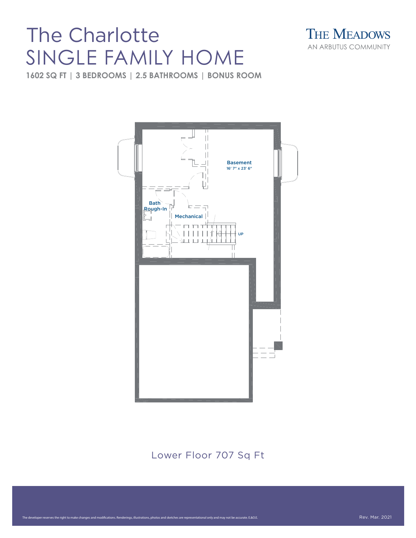## SINGLE FAMILY HOME



**1602 SQ FT | 3 BEDROOMS | 2.5 BATHROOMS | BONUS ROOM**



Lower Floor 707 Sq Ft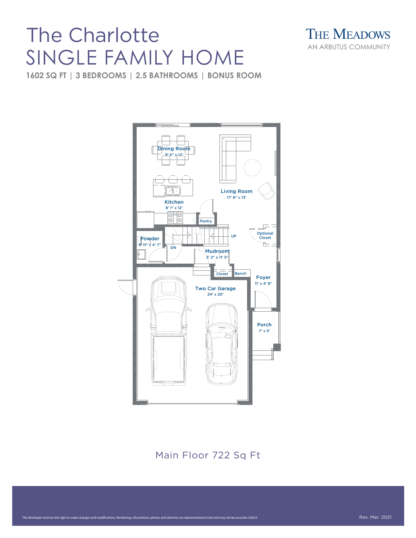## SINGLE FAMILY HOME



**1602 SQ FT | 3 BEDROOMS | 2.5 BATHROOMS | BONUS ROOM**



Main Floor 722 Sq Ft